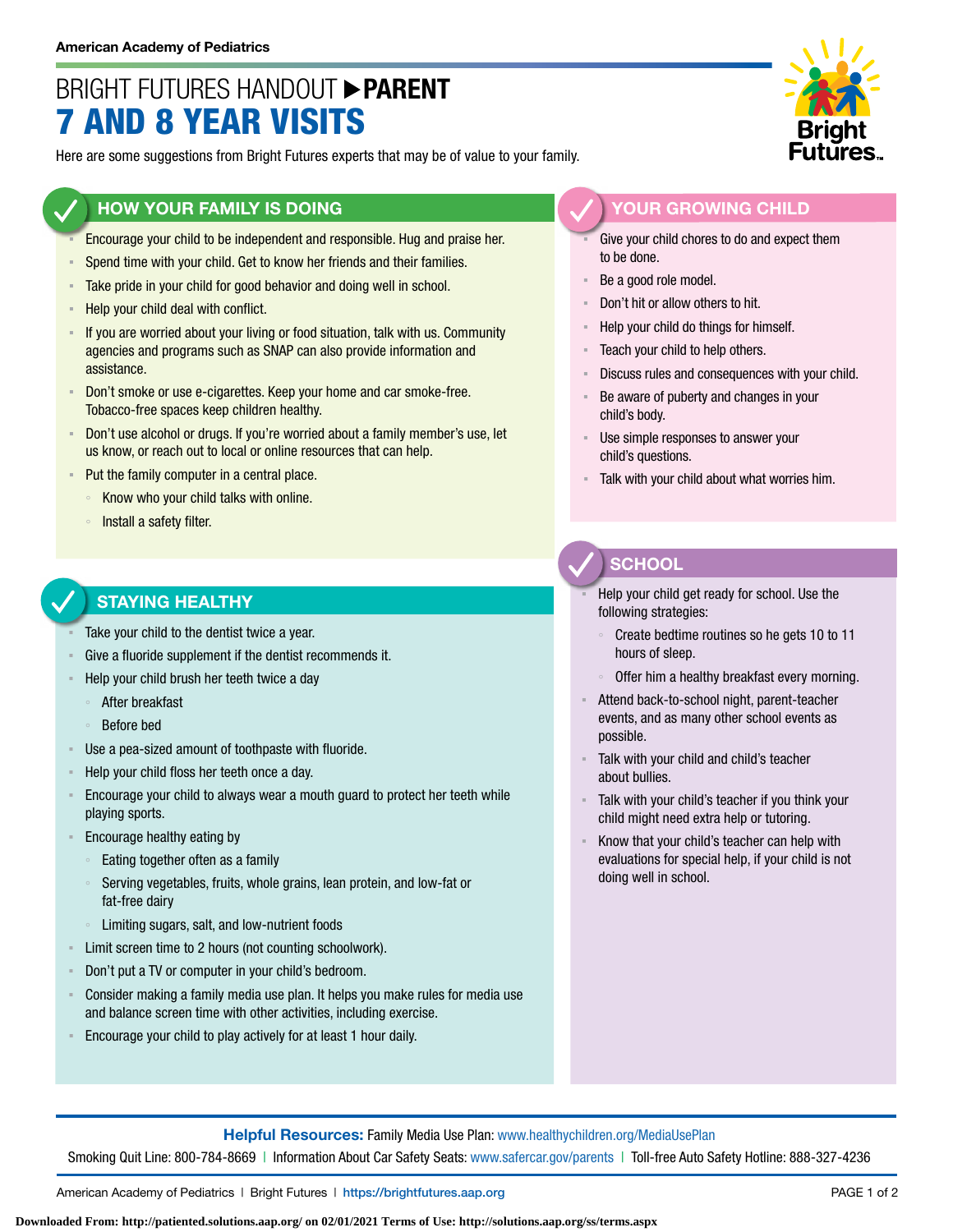# BRIGHT FUTURES HANDOUT **PARENT** 7 AND 8 YEAR VISITS

Here are some suggestions from Bright Futures experts that may be of value to your family.

### **HOW YOUR FAMILY IS DOING**

- Encourage your child to be independent and responsible. Hug and praise her.
- Spend time with your child. Get to know her friends and their families.
- **EXECT** Take pride in your child for good behavior and doing well in school.
- Help your child deal with conflict.
- If you are worried about your living or food situation, talk with us. Community agencies and programs such as SNAP can also provide information and assistance.
- Don't smoke or use e-cigarettes. Keep your home and car smoke-free. Tobacco-free spaces keep children healthy.
- Don't use alcohol or drugs. If you're worried about a family member's use, let us know, or reach out to local or online resources that can help.
- Put the family computer in a central place.
	- Know who your child talks with online.
	- Install a safety filter.

#### **STAYING HEALTHY**

- Take your child to the dentist twice a year.
- Give a fluoride supplement if the dentist recommends it.
- Help your child brush her teeth twice a day
	- After breakfast
	- Before bed
- Use a pea-sized amount of toothpaste with fluoride.
- Help your child floss her teeth once a day.
- Encourage your child to always wear a mouth guard to protect her teeth while playing sports.
- Encourage healthy eating by
	- Eating together often as a family
	- Serving vegetables, fruits, whole grains, lean protein, and low-fat or fat-free dairy
	- Limiting sugars, salt, and low-nutrient foods
- Limit screen time to 2 hours (not counting schoolwork).
- Don't put a TV or computer in your child's bedroom.
- Consider making a family media use plan. It helps you make rules for media use and balance screen time with other activities, including exercise.
- Encourage your child to play actively for at least 1 hour daily.



### **YOUR GROWING CHILD**

- Give your child chores to do and expect them to be done.
- Be a good role model.
- Don't hit or allow others to hit.
- Help your child do things for himself.
- Teach your child to help others.
- Discuss rules and consequences with your child.
- Be aware of puberty and changes in your child's body.
- Use simple responses to answer your child's questions.
- Talk with your child about what worries him.

# **SCHOOL**

- Help your child get ready for school. Use the following strategies:
- Create bedtime routines so he gets 10 to 11 hours of sleep.
- Offer him a healthy breakfast every morning.
- Attend back-to-school night, parent-teacher events, and as many other school events as possible.
- Talk with your child and child's teacher about bullies.
- Talk with your child's teacher if you think your child might need extra help or tutoring.
- Know that your child's teacher can help with evaluations for special help, if your child is not doing well in school.

**Helpful Resources:** Family Media Use Plan: [www.healthychildren.org/MediaUsePlan](https://www.healthychildren.org/English/media/Pages/default.aspx)

Smoking Quit Line: 800-784-8669 | Information About Car Safety Seats: [www.safercar.gov/parents](https://www.nhtsa.gov/parents-and-caregivers) | Toll-free Auto Safety Hotline: 888-327-4236

American Academy of Pediatrics | Bright Futures | https://[brightfutures.aap.org](https://brightfutures.aap.org/Pages/default.aspx) PAGE 1 of 2

**Downloaded From: http://patiented.solutions.aap.org/ on 02/01/2021 Terms of Use: http://solutions.aap.org/ss/terms.aspx**